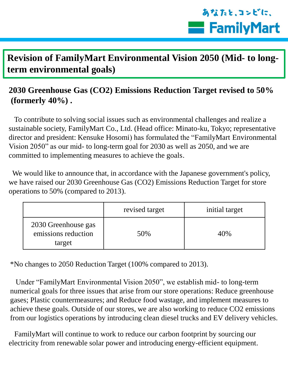## あなたと、コンビに、 **Example** Family Mart

## **Revision of FamilyMart Environmental Vision 2050 (Mid- to longterm environmental goals)**

## **2030 Greenhouse Gas (CO2) Emissions Reduction Target revised to 50% (formerly 40%) .**

 To contribute to solving social issues such as environmental challenges and realize a sustainable society, FamilyMart Co., Ltd. (Head office: Minato-ku, Tokyo; representative director and president: Kensuke Hosomi) has formulated the "FamilyMart Environmental Vision 2050" as our mid- to long-term goal for 2030 as well as 2050, and we are committed to implementing measures to achieve the goals.

 We would like to announce that, in accordance with the Japanese government's policy, we have raised our 2030 Greenhouse Gas (CO2) Emissions Reduction Target for store operations to 50% (compared to 2013).

|                                                      | revised target | initial target |
|------------------------------------------------------|----------------|----------------|
| 2030 Greenhouse gas<br>emissions reduction<br>target | 50%            | 40%            |

\*No changes to 2050 Reduction Target (100% compared to 2013).

 Under "FamilyMart Environmental Vision 2050", we establish mid- to long-term numerical goals for three issues that arise from our store operations: Reduce greenhouse gases; Plastic countermeasures; and Reduce food wastage, and implement measures to achieve these goals. Outside of our stores, we are also working to reduce CO2 emissions from our logistics operations by introducing clean diesel trucks and EV delivery vehicles.

 FamilyMart will continue to work to reduce our carbon footprint by sourcing our electricity from renewable solar power and introducing energy-efficient equipment.